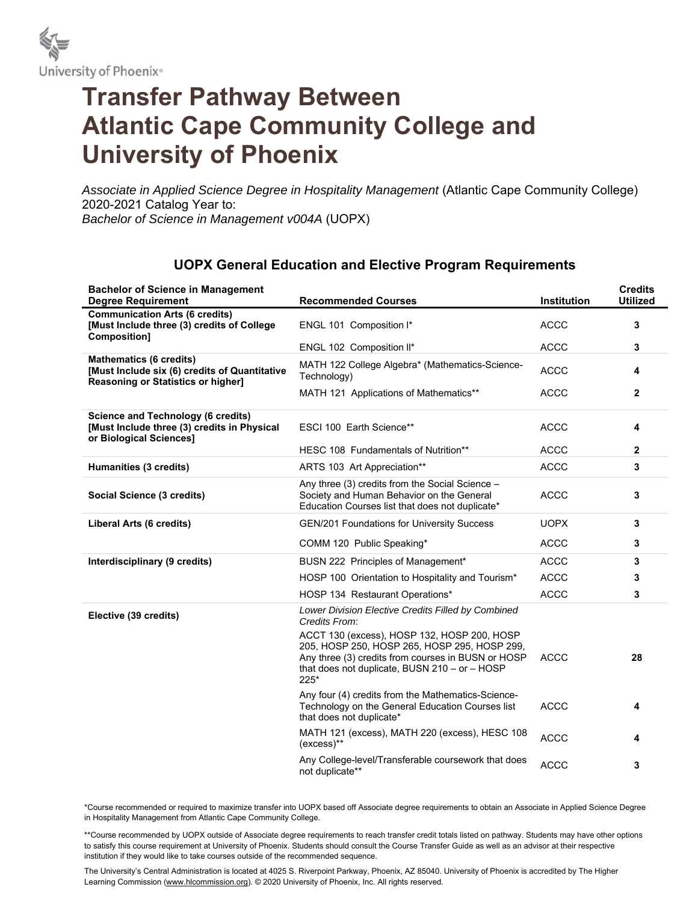

## **Transfer Pathway Between Atlantic Cape Community College and University of Phoenix**

*Associate in Applied Science Degree in Hospitality Management* (Atlantic Cape Community College) 2020-2021 Catalog Year to: *Bachelor of Science in Management v004A* (UOPX)

| <b>Bachelor of Science in Management</b><br><b>Degree Requirement</b>                                                        | <b>Recommended Courses</b>                                                                                                                                                                                   | <b>Institution</b> | <b>Credits</b><br><b>Utilized</b> |
|------------------------------------------------------------------------------------------------------------------------------|--------------------------------------------------------------------------------------------------------------------------------------------------------------------------------------------------------------|--------------------|-----------------------------------|
| <b>Communication Arts (6 credits)</b><br>[Must Include three (3) credits of College<br>Composition]                          | ENGL 101 Composition I*                                                                                                                                                                                      | <b>ACCC</b>        | 3                                 |
|                                                                                                                              | ENGL 102 Composition II*                                                                                                                                                                                     | <b>ACCC</b>        | 3                                 |
| <b>Mathematics (6 credits)</b><br>[Must Include six (6) credits of Quantitative<br><b>Reasoning or Statistics or higher]</b> | MATH 122 College Algebra* (Mathematics-Science-<br>Technology)                                                                                                                                               | <b>ACCC</b>        | 4                                 |
|                                                                                                                              | MATH 121 Applications of Mathematics**                                                                                                                                                                       | <b>ACCC</b>        | $\mathbf{2}$                      |
| Science and Technology (6 credits)<br>[Must Include three (3) credits in Physical<br>or Biological Sciences]                 | ESCI 100 Earth Science**                                                                                                                                                                                     | <b>ACCC</b>        | 4                                 |
|                                                                                                                              | HESC 108 Fundamentals of Nutrition**                                                                                                                                                                         | <b>ACCC</b>        | $\mathbf{2}$                      |
| Humanities (3 credits)                                                                                                       | ARTS 103 Art Appreciation**                                                                                                                                                                                  | <b>ACCC</b>        | 3                                 |
| Social Science (3 credits)                                                                                                   | Any three (3) credits from the Social Science -<br>Society and Human Behavior on the General<br>Education Courses list that does not duplicate*                                                              | <b>ACCC</b>        | 3                                 |
| Liberal Arts (6 credits)                                                                                                     | GEN/201 Foundations for University Success                                                                                                                                                                   | <b>UOPX</b>        | 3                                 |
|                                                                                                                              | COMM 120 Public Speaking*                                                                                                                                                                                    | <b>ACCC</b>        | 3                                 |
| Interdisciplinary (9 credits)                                                                                                | BUSN 222 Principles of Management*                                                                                                                                                                           | <b>ACCC</b>        | 3                                 |
|                                                                                                                              | HOSP 100 Orientation to Hospitality and Tourism*                                                                                                                                                             | <b>ACCC</b>        | 3                                 |
|                                                                                                                              | HOSP 134 Restaurant Operations*                                                                                                                                                                              | <b>ACCC</b>        | 3                                 |
| Elective (39 credits)                                                                                                        | Lower Division Elective Credits Filled by Combined<br>Credits From:                                                                                                                                          |                    |                                   |
|                                                                                                                              | ACCT 130 (excess), HOSP 132, HOSP 200, HOSP<br>205, HOSP 250, HOSP 265, HOSP 295, HOSP 299,<br>Any three (3) credits from courses in BUSN or HOSP<br>that does not duplicate, BUSN $210 - or - HOSP$<br>225* | <b>ACCC</b>        | 28                                |
|                                                                                                                              | Any four (4) credits from the Mathematics-Science-<br>Technology on the General Education Courses list<br>that does not duplicate*                                                                           | <b>ACCC</b>        | 4                                 |
|                                                                                                                              | MATH 121 (excess), MATH 220 (excess), HESC 108<br>$(excess)$ **                                                                                                                                              | <b>ACCC</b>        | 4                                 |
|                                                                                                                              | Any College-level/Transferable coursework that does<br>not duplicate**                                                                                                                                       | <b>ACCC</b>        | 3                                 |

## **UOPX General Education and Elective Program Requirements**

\*Course recommended or required to maximize transfer into UOPX based off Associate degree requirements to obtain an Associate in Applied Science Degree in Hospitality Management from Atlantic Cape Community College.

\*\*Course recommended by UOPX outside of Associate degree requirements to reach transfer credit totals listed on pathway. Students may have other options to satisfy this course requirement at University of Phoenix. Students should consult the Course Transfer Guide as well as an advisor at their respective institution if they would like to take courses outside of the recommended sequence.

The University's Central Administration is located at 4025 S. Riverpoint Parkway, Phoenix, AZ 85040. University of Phoenix is accredited by The Higher Learning Commission (www.hlcommission.org). @ 2020 University of Phoenix, Inc. All rights reserved.